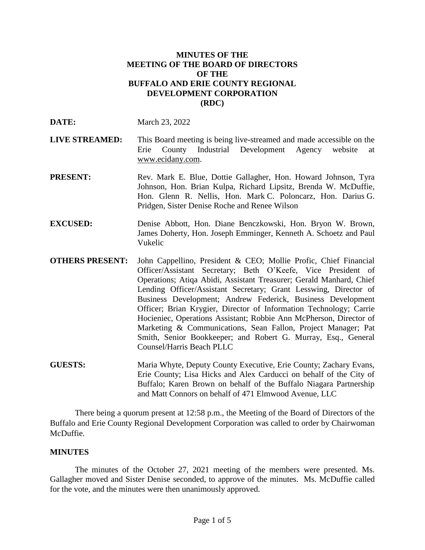### **MINUTES OF THE MEETING OF THE BOARD OF DIRECTORS OF THE BUFFALO AND ERIE COUNTY REGIONAL DEVELOPMENT CORPORATION (RDC)**

**DATE:** March 23, 2022

- **LIVE STREAMED:** This Board meeting is being live-streamed and made accessible on the Erie County Industrial Development Agency website at www.ecidany.com.
- **PRESENT:** Rev. Mark E. Blue, Dottie Gallagher, Hon. Howard Johnson, Tyra Johnson, Hon. Brian Kulpa, Richard Lipsitz, Brenda W. McDuffie, Hon. Glenn R. Nellis, Hon. Mark C. Poloncarz, Hon. Darius G. Pridgen, Sister Denise Roche and Renee Wilson
- **EXCUSED:** Denise Abbott, Hon. Diane Benczkowski, Hon. Bryon W. Brown, James Doherty, Hon. Joseph Emminger, Kenneth A. Schoetz and Paul Vukelic
- **OTHERS PRESENT:** John Cappellino, President & CEO; Mollie Profic, Chief Financial Officer/Assistant Secretary; Beth O'Keefe, Vice President of Operations; Atiqa Abidi, Assistant Treasurer; Gerald Manhard, Chief Lending Officer/Assistant Secretary; Grant Lesswing, Director of Business Development; Andrew Federick, Business Development Officer; Brian Krygier, Director of Information Technology; Carrie Hocieniec, Operations Assistant; Robbie Ann McPherson, Director of Marketing & Communications, Sean Fallon, Project Manager; Pat Smith, Senior Bookkeeper; and Robert G. Murray, Esq., General Counsel/Harris Beach PLLC
- **GUESTS:** Maria Whyte, Deputy County Executive, Erie County; Zachary Evans, Erie County; Lisa Hicks and Alex Carducci on behalf of the City of Buffalo; Karen Brown on behalf of the Buffalo Niagara Partnership and Matt Connors on behalf of 471 Elmwood Avenue, LLC

There being a quorum present at 12:58 p.m., the Meeting of the Board of Directors of the Buffalo and Erie County Regional Development Corporation was called to order by Chairwoman McDuffie.

### **MINUTES**

The minutes of the October 27, 2021 meeting of the members were presented. Ms. Gallagher moved and Sister Denise seconded, to approve of the minutes. Ms. McDuffie called for the vote, and the minutes were then unanimously approved.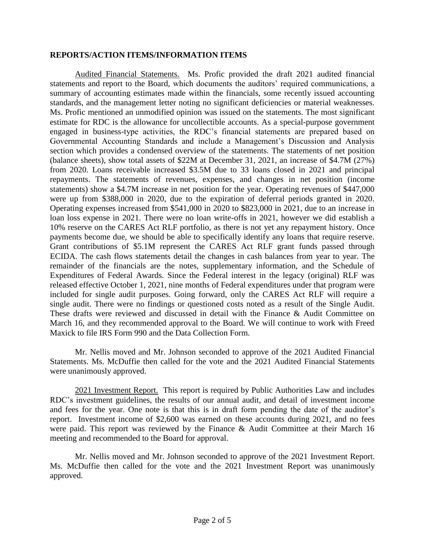### **REPORTS/ACTION ITEMS/INFORMATION ITEMS**

Audited Financial Statements. Ms. Profic provided the draft 2021 audited financial statements and report to the Board, which documents the auditors' required communications, a summary of accounting estimates made within the financials, some recently issued accounting standards, and the management letter noting no significant deficiencies or material weaknesses. Ms. Profic mentioned an unmodified opinion was issued on the statements. The most significant estimate for RDC is the allowance for uncollectible accounts. As a special-purpose government engaged in business-type activities, the RDC's financial statements are prepared based on Governmental Accounting Standards and include a Management's Discussion and Analysis section which provides a condensed overview of the statements. The statements of net position (balance sheets), show total assets of \$22M at December 31, 2021, an increase of \$4.7M (27%) from 2020. Loans receivable increased \$3.5M due to 33 loans closed in 2021 and principal repayments. The statements of revenues, expenses, and changes in net position (income statements) show a \$4.7M increase in net position for the year. Operating revenues of \$447,000 were up from \$388,000 in 2020, due to the expiration of deferral periods granted in 2020. Operating expenses increased from \$541,000 in 2020 to \$823,000 in 2021, due to an increase in loan loss expense in 2021. There were no loan write-offs in 2021, however we did establish a 10% reserve on the CARES Act RLF portfolio, as there is not yet any repayment history. Once payments become due, we should be able to specifically identify any loans that require reserve. Grant contributions of \$5.1M represent the CARES Act RLF grant funds passed through ECIDA. The cash flows statements detail the changes in cash balances from year to year. The remainder of the financials are the notes, supplementary information, and the Schedule of Expenditures of Federal Awards. Since the Federal interest in the legacy (original) RLF was released effective October 1, 2021, nine months of Federal expenditures under that program were included for single audit purposes. Going forward, only the CARES Act RLF will require a single audit. There were no findings or questioned costs noted as a result of the Single Audit. These drafts were reviewed and discussed in detail with the Finance & Audit Committee on March 16, and they recommended approval to the Board. We will continue to work with Freed Maxick to file IRS Form 990 and the Data Collection Form.

Mr. Nellis moved and Mr. Johnson seconded to approve of the 2021 Audited Financial Statements. Ms. McDuffie then called for the vote and the 2021 Audited Financial Statements were unanimously approved.

2021 Investment Report. This report is required by Public Authorities Law and includes RDC's investment guidelines, the results of our annual audit, and detail of investment income and fees for the year. One note is that this is in draft form pending the date of the auditor's report. Investment income of \$2,600 was earned on these accounts during 2021, and no fees were paid. This report was reviewed by the Finance & Audit Committee at their March 16 meeting and recommended to the Board for approval.

Mr. Nellis moved and Mr. Johnson seconded to approve of the 2021 Investment Report. Ms. McDuffie then called for the vote and the 2021 Investment Report was unanimously approved.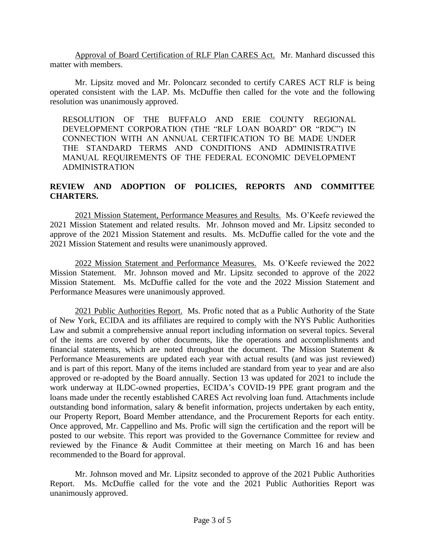Approval of Board Certification of RLF Plan CARES Act. Mr. Manhard discussed this matter with members.

Mr. Lipsitz moved and Mr. Poloncarz seconded to certify CARES ACT RLF is being operated consistent with the LAP. Ms. McDuffie then called for the vote and the following resolution was unanimously approved.

RESOLUTION OF THE BUFFALO AND ERIE COUNTY REGIONAL DEVELOPMENT CORPORATION (THE "RLF LOAN BOARD" OR "RDC") IN CONNECTION WITH AN ANNUAL CERTIFICATION TO BE MADE UNDER THE STANDARD TERMS AND CONDITIONS AND ADMINISTRATIVE MANUAL REQUIREMENTS OF THE FEDERAL ECONOMIC DEVELOPMENT ADMINISTRATION

# **REVIEW AND ADOPTION OF POLICIES, REPORTS AND COMMITTEE CHARTERS.**

2021 Mission Statement, Performance Measures and Results. Ms. O'Keefe reviewed the 2021 Mission Statement and related results. Mr. Johnson moved and Mr. Lipsitz seconded to approve of the 2021 Mission Statement and results. Ms. McDuffie called for the vote and the 2021 Mission Statement and results were unanimously approved.

2022 Mission Statement and Performance Measures. Ms. O'Keefe reviewed the 2022 Mission Statement. Mr. Johnson moved and Mr. Lipsitz seconded to approve of the 2022 Mission Statement. Ms. McDuffie called for the vote and the 2022 Mission Statement and Performance Measures were unanimously approved.

2021 Public Authorities Report. Ms. Profic noted that as a Public Authority of the State of New York, ECIDA and its affiliates are required to comply with the NYS Public Authorities Law and submit a comprehensive annual report including information on several topics. Several of the items are covered by other documents, like the operations and accomplishments and financial statements, which are noted throughout the document. The Mission Statement  $\&$ Performance Measurements are updated each year with actual results (and was just reviewed) and is part of this report. Many of the items included are standard from year to year and are also approved or re-adopted by the Board annually. Section 13 was updated for 2021 to include the work underway at ILDC-owned properties, ECIDA's COVID-19 PPE grant program and the loans made under the recently established CARES Act revolving loan fund. Attachments include outstanding bond information, salary & benefit information, projects undertaken by each entity, our Property Report, Board Member attendance, and the Procurement Reports for each entity. Once approved, Mr. Cappellino and Ms. Profic will sign the certification and the report will be posted to our website. This report was provided to the Governance Committee for review and reviewed by the Finance & Audit Committee at their meeting on March 16 and has been recommended to the Board for approval.

Mr. Johnson moved and Mr. Lipsitz seconded to approve of the 2021 Public Authorities Report. Ms. McDuffie called for the vote and the 2021 Public Authorities Report was unanimously approved.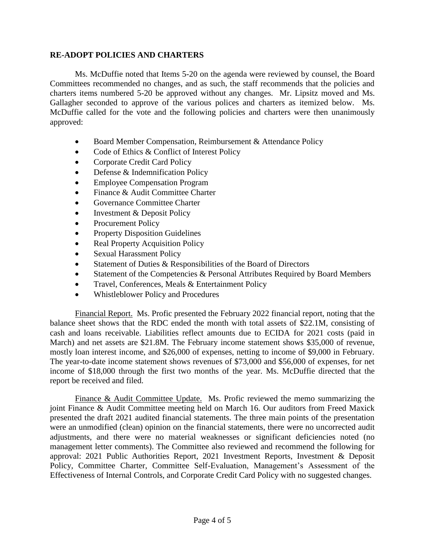## **RE-ADOPT POLICIES AND CHARTERS**

Ms. McDuffie noted that Items 5-20 on the agenda were reviewed by counsel, the Board Committees recommended no changes, and as such, the staff recommends that the policies and charters items numbered 5-20 be approved without any changes. Mr. Lipsitz moved and Ms. Gallagher seconded to approve of the various polices and charters as itemized below. Ms. McDuffie called for the vote and the following policies and charters were then unanimously approved:

- Board Member Compensation, Reimbursement & Attendance Policy
- Code of Ethics & Conflict of Interest Policy
- Corporate Credit Card Policy
- Defense & Indemnification Policy
- Employee Compensation Program
- Finance & Audit Committee Charter
- Governance Committee Charter
- Investment & Deposit Policy
- Procurement Policy
- Property Disposition Guidelines
- Real Property Acquisition Policy
- Sexual Harassment Policy
- Statement of Duties & Responsibilities of the Board of Directors
- Statement of the Competencies & Personal Attributes Required by Board Members
- Travel, Conferences, Meals & Entertainment Policy
- Whistleblower Policy and Procedures

Financial Report. Ms. Profic presented the February 2022 financial report, noting that the balance sheet shows that the RDC ended the month with total assets of \$22.1M, consisting of cash and loans receivable. Liabilities reflect amounts due to ECIDA for 2021 costs (paid in March) and net assets are \$21.8M. The February income statement shows \$35,000 of revenue, mostly loan interest income, and \$26,000 of expenses, netting to income of \$9,000 in February. The year-to-date income statement shows revenues of \$73,000 and \$56,000 of expenses, for net income of \$18,000 through the first two months of the year. Ms. McDuffie directed that the report be received and filed.

Finance & Audit Committee Update. Ms. Profic reviewed the memo summarizing the joint Finance & Audit Committee meeting held on March 16. Our auditors from Freed Maxick presented the draft 2021 audited financial statements. The three main points of the presentation were an unmodified (clean) opinion on the financial statements, there were no uncorrected audit adjustments, and there were no material weaknesses or significant deficiencies noted (no management letter comments). The Committee also reviewed and recommend the following for approval: 2021 Public Authorities Report, 2021 Investment Reports, Investment & Deposit Policy, Committee Charter, Committee Self-Evaluation, Management's Assessment of the Effectiveness of Internal Controls, and Corporate Credit Card Policy with no suggested changes.